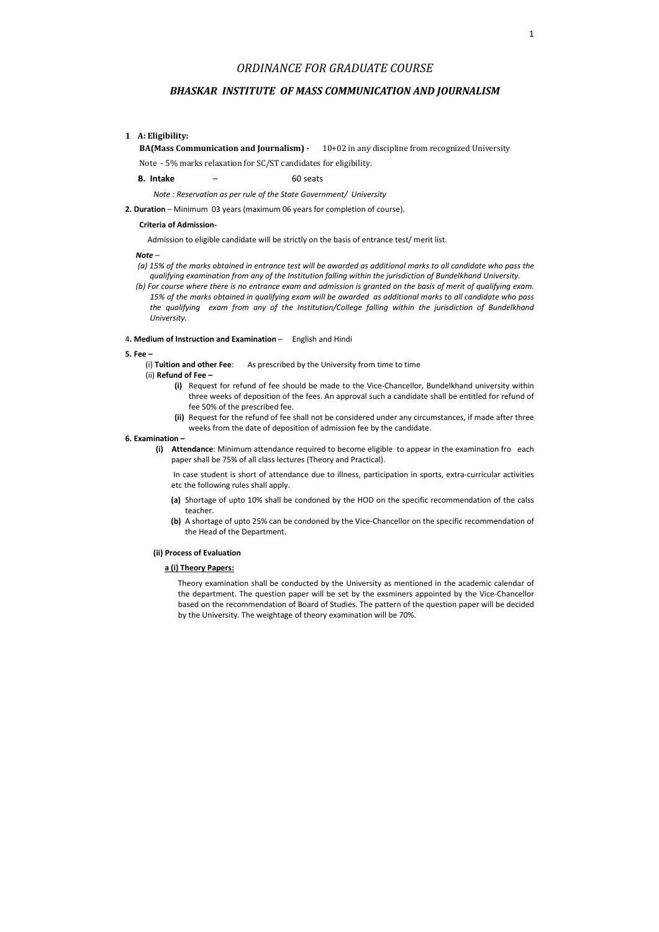### BHASKAR INSTITUTE OF MASS COMMUNICATION AND JOURNALISM

#### 1 A: Eligibility:

BA(Mass Communication and Journalism) - 10+02 in any discipline from recognized University Note - 5% marks relaxation for SC/ST candidates for eligibility.

B. Intake – 60 seats

Note : Reservation as per rule of the State Government/ University

2. Duration – Minimum 03 years (maximum 06 years for completion of course).

#### Criteria of Admission-

Admission to eligible candidate will be strictly on the basis of entrance test/ merit list.

#### Note –

- (a) 15% of the marks obtained in entrance test will be awarded as additional marks to all candidate who pass the qualifying examination from any of the Institution falling within the jurisdiction of Bundelkhand University.
- (b) For course where there is no entrance exam and admission is granted on the basis of merit of qualifying exam. 15% of the marks obtained in qualifying exam will be awarded as additional marks to all candidate who pass the qualifying exam from any of the Institution/College falling within the jurisdiction of Bundelkhand University.

#### 4. Medium of Instruction and Examination – English and Hindi

#### 5. Fee –

- (i) Tuition and other Fee: As prescribed by the University from time to time
- (ii) Refund of Fee
	- (i) Request for refund of fee should be made to the Vice-Chancellor, Bundelkhand university within three weeks of deposition of the fees. An approval such a candidate shall be entitled for refund of fee 50% of the prescribed fee.
	- (ii) Request for the refund of fee shall not be considered under any circumstances, if made after three weeks from the date of deposition of admission fee by the candidate.

#### 6. Examination –

 (i) Attendance: Minimum attendance required to become eligible to appear in the examination fro each paper shall be 75% of all class lectures (Theory and Practical).

 In case student is short of attendance due to illness, participation in sports, extra-curricular activities etc the following rules shall apply.

- (a) Shortage of upto 10% shall be condoned by the HOD on the specific recommendation of the calss teacher.
- (b) A shortage of upto 25% can be condoned by the Vice-Chancellor on the specific recommendation of the Head of the Department.

#### (ii) Process of Evaluation

#### a (i) Theory Papers:

Theory examination shall be conducted by the University as mentioned in the academic calendar of the department. The question paper will be set by the exsminers appointed by the Vice-Chancellor based on the recommendation of Board of Studies. The pattern of the question paper will be decided by the University. The weightage of theory examination will be 70%.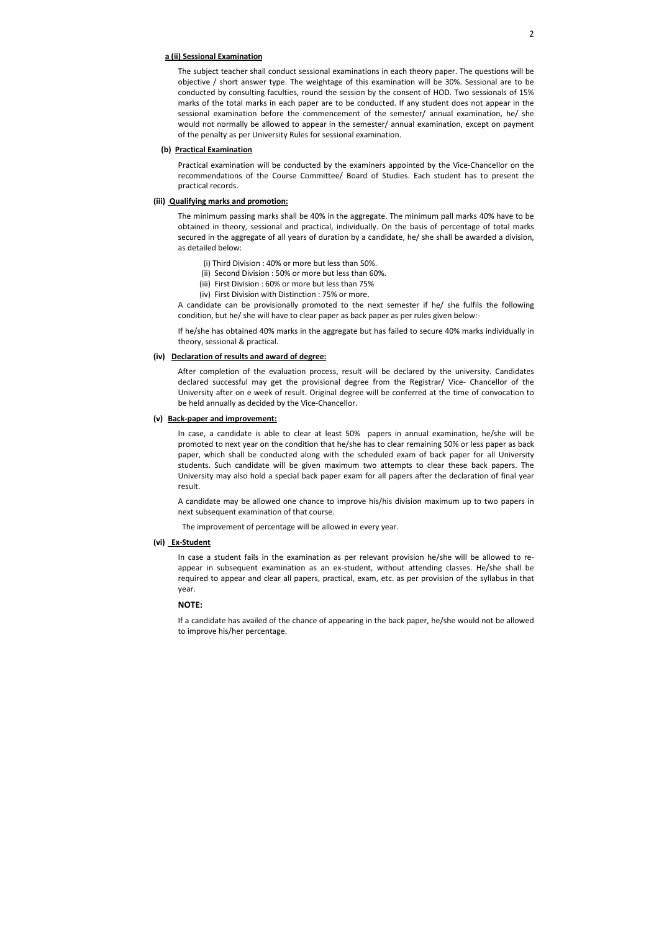#### a (ii) Sessional Examination

The subject teacher shall conduct sessional examinations in each theory paper. The questions will be objective / short answer type. The weightage of this examination will be 30%. Sessional are to be conducted by consulting faculties, round the session by the consent of HOD. Two sessionals of 15% marks of the total marks in each paper are to be conducted. If any student does not appear in the sessional examination before the commencement of the semester/ annual examination, he/ she would not normally be allowed to appear in the semester/ annual examination, except on payment of the penalty as per University Rules for sessional examination.

#### (b) Practical Examination

Practical examination will be conducted by the examiners appointed by the Vice-Chancellor on the recommendations of the Course Committee/ Board of Studies. Each student has to present the practical records.

#### (iii) Qualifying marks and promotion:

The minimum passing marks shall be 40% in the aggregate. The minimum pall marks 40% have to be obtained in theory, sessional and practical, individually. On the basis of percentage of total marks secured in the aggregate of all years of duration by a candidate, he/ she shall be awarded a division, as detailed below:

- (i) Third Division : 40% or more but less than 50%.
- (ii) Second Division : 50% or more but less than 60%.
- (iii) First Division : 60% or more but less than 75%
- (iv) First Division with Distinction : 75% or more.

A candidate can be provisionally promoted to the next semester if he/ she fulfils the following condition, but he/ she will have to clear paper as back paper as per rules given below:-

If he/she has obtained 40% marks in the aggregate but has failed to secure 40% marks individually in theory, sessional & practical.

#### (iv) Declaration of results and award of degree:

After completion of the evaluation process, result will be declared by the university. Candidates declared successful may get the provisional degree from the Registrar/ Vice- Chancellor of the University after on e week of result. Original degree will be conferred at the time of convocation to be held annually as decided by the Vice-Chancellor.

#### (v) Back-paper and improvement:

In case, a candidate is able to clear at least 50% papers in annual examination, he/she will be promoted to next year on the condition that he/she has to clear remaining 50% or less paper as back paper, which shall be conducted along with the scheduled exam of back paper for all University students. Such candidate will be given maximum two attempts to clear these back papers. The University may also hold a special back paper exam for all papers after the declaration of final year result.

A candidate may be allowed one chance to improve his/his division maximum up to two papers in next subsequent examination of that course.

The improvement of percentage will be allowed in every year.

#### (vi) Ex-Student

In case a student fails in the examination as per relevant provision he/she will be allowed to reappear in subsequent examination as an ex-student, without attending classes. He/she shall be required to appear and clear all papers, practical, exam, etc. as per provision of the syllabus in that year.

#### NOTE:

If a candidate has availed of the chance of appearing in the back paper, he/she would not be allowed to improve his/her percentage.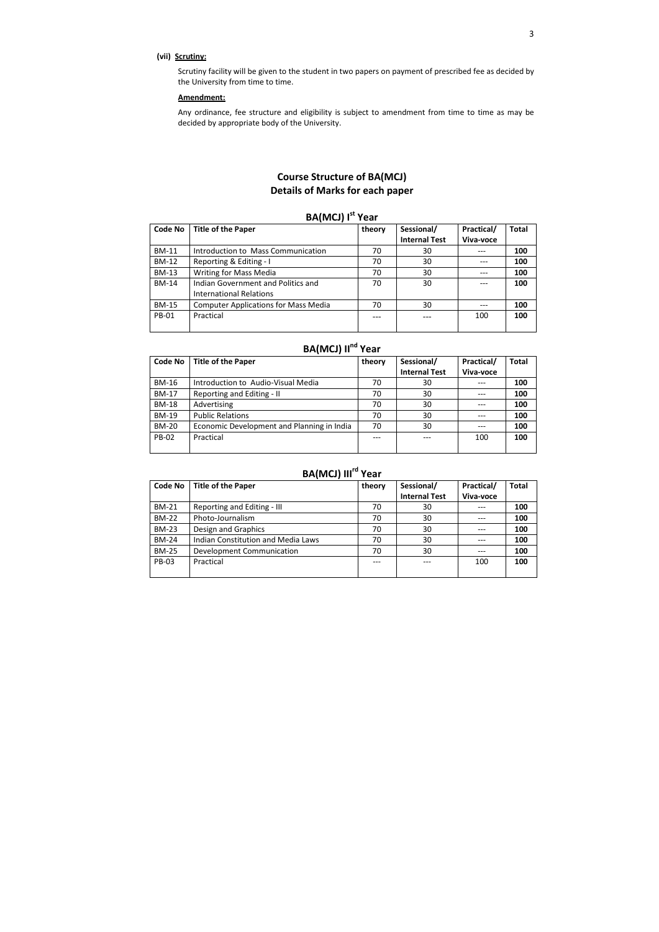### (vii) Scrutiny:

Scrutiny facility will be given to the student in two papers on payment of prescribed fee as decided by the University from time to time.

#### Amendment:

Any ordinance, fee structure and eligibility is subject to amendment from time to time as may be decided by appropriate body of the University.

## Course Structure of BA(MCJ) Details of Marks for each paper

| <b>Code No</b> | <b>Title of the Paper</b>                   | theory | Sessional/           | Practical/ | <b>Total</b> |
|----------------|---------------------------------------------|--------|----------------------|------------|--------------|
|                |                                             |        | <b>Internal Test</b> | Viva-voce  |              |
| <b>BM-11</b>   | Introduction to Mass Communication          | 70     | 30                   | ---        | 100          |
| <b>BM-12</b>   | Reporting & Editing - I                     | 70     | 30                   |            | 100          |
| <b>BM-13</b>   | Writing for Mass Media                      | 70     | 30                   |            | 100          |
| <b>BM-14</b>   | Indian Government and Politics and          | 70     | 30                   |            | 100          |
|                | <b>International Relations</b>              |        |                      |            |              |
| <b>BM-15</b>   | <b>Computer Applications for Mass Media</b> | 70     | 30                   | ---        | 100          |
| <b>PB-01</b>   | Practical                                   |        |                      | 100        | 100          |
|                |                                             |        |                      |            |              |

## BA(MCJ) I<sup>st</sup> Year

# BA(MCJ) II<sup>nd</sup> Year

| <b>Code No</b> | <b>Title of the Paper</b>                  | theory | Sessional/           | Practical/ | <b>Total</b> |
|----------------|--------------------------------------------|--------|----------------------|------------|--------------|
|                |                                            |        | <b>Internal Test</b> | Viva-voce  |              |
| <b>BM-16</b>   | Introduction to Audio-Visual Media         | 70     | 30                   |            | 100          |
| <b>BM-17</b>   | Reporting and Editing - II                 | 70     | 30                   | ---        | 100          |
| <b>BM-18</b>   | Advertising                                | 70     | 30                   | $---$      | 100          |
| <b>BM-19</b>   | <b>Public Relations</b>                    | 70     | 30                   | $---$      | 100          |
| <b>BM-20</b>   | Economic Development and Planning in India | 70     | 30                   | $---$      | 100          |
| <b>PB-02</b>   | Practical                                  |        |                      | 100        | 100          |
|                |                                            |        |                      |            |              |

## BA(MCJ) III<sup>rd</sup> Year

| <b>Code No</b> | <b>Title of the Paper</b>          | theory | Sessional/<br><b>Internal Test</b> | Practical/<br>Viva-voce | <b>Total</b> |
|----------------|------------------------------------|--------|------------------------------------|-------------------------|--------------|
| <b>BM-21</b>   | Reporting and Editing - III        | 70     | 30                                 | $---$                   | 100          |
|                |                                    |        |                                    |                         |              |
| <b>BM-22</b>   | Photo-Journalism                   | 70     | 30                                 |                         | 100          |
| <b>BM-23</b>   | Design and Graphics                | 70     | 30                                 |                         | 100          |
| <b>BM-24</b>   | Indian Constitution and Media Laws | 70     | 30                                 |                         | 100          |
| <b>BM-25</b>   | Development Communication          | 70     | 30                                 |                         | 100          |
| PB-03          | Practical                          |        |                                    | 100                     | 100          |
|                |                                    |        |                                    |                         |              |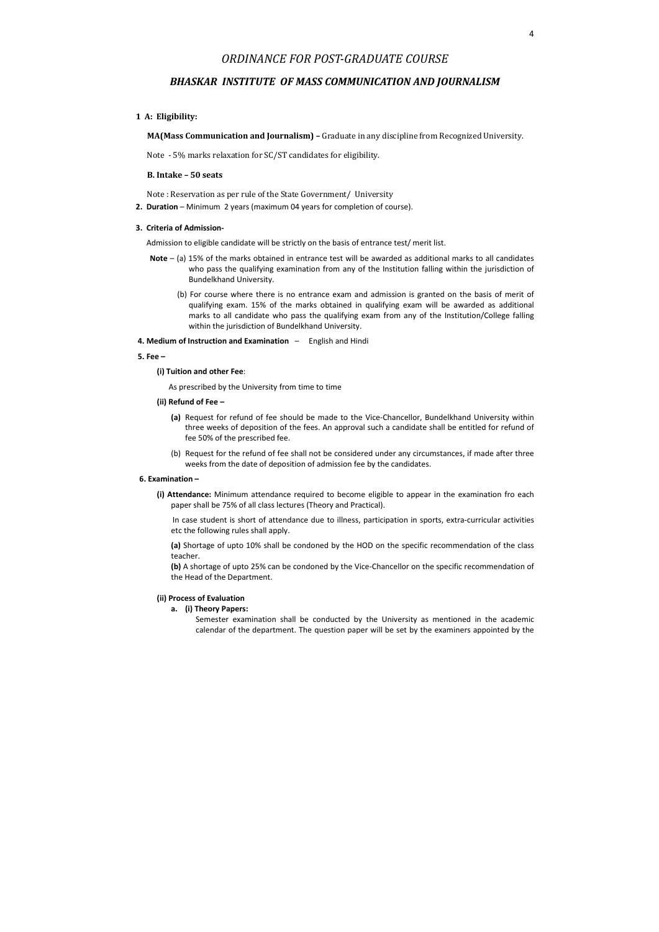### ORDINANCE FOR POST-GRADUATE COURSE

#### BHASKAR INSTITUTE OF MASS COMMUNICATION AND JOURNALISM

#### 1 A: Eligibility:

MA(Mass Communication and Journalism) – Graduate in any discipline from Recognized University.

Note - 5% marks relaxation for SC/ST candidates for eligibility.

#### B. Intake – 50 seats

Note : Reservation as per rule of the State Government/ University

2. Duration – Minimum 2 years (maximum 04 years for completion of course).

#### 3. Criteria of Admission-

Admission to eligible candidate will be strictly on the basis of entrance test/ merit list.

- Note (a) 15% of the marks obtained in entrance test will be awarded as additional marks to all candidates who pass the qualifying examination from any of the Institution falling within the jurisdiction of Bundelkhand University.
	- (b) For course where there is no entrance exam and admission is granted on the basis of merit of qualifying exam. 15% of the marks obtained in qualifying exam will be awarded as additional marks to all candidate who pass the qualifying exam from any of the Institution/College falling within the jurisdiction of Bundelkhand University.

4. Medium of Instruction and Examination – English and Hindi

#### 5. Fee –

(i) Tuition and other Fee:

As prescribed by the University from time to time

#### (ii) Refund of Fee –

- (a) Request for refund of fee should be made to the Vice-Chancellor, Bundelkhand University within three weeks of deposition of the fees. An approval such a candidate shall be entitled for refund of fee 50% of the prescribed fee.
- (b) Request for the refund of fee shall not be considered under any circumstances, if made after three weeks from the date of deposition of admission fee by the candidates.

#### 6. Examination –

(i) Attendance: Minimum attendance required to become eligible to appear in the examination fro each paper shall be 75% of all class lectures (Theory and Practical).

 In case student is short of attendance due to illness, participation in sports, extra-curricular activities etc the following rules shall apply.

(a) Shortage of upto 10% shall be condoned by the HOD on the specific recommendation of the class teacher.

(b) A shortage of upto 25% can be condoned by the Vice-Chancellor on the specific recommendation of the Head of the Department.

#### (ii) Process of Evaluation

- a. (i) Theory Papers:
	- Semester examination shall be conducted by the University as mentioned in the academic calendar of the department. The question paper will be set by the examiners appointed by the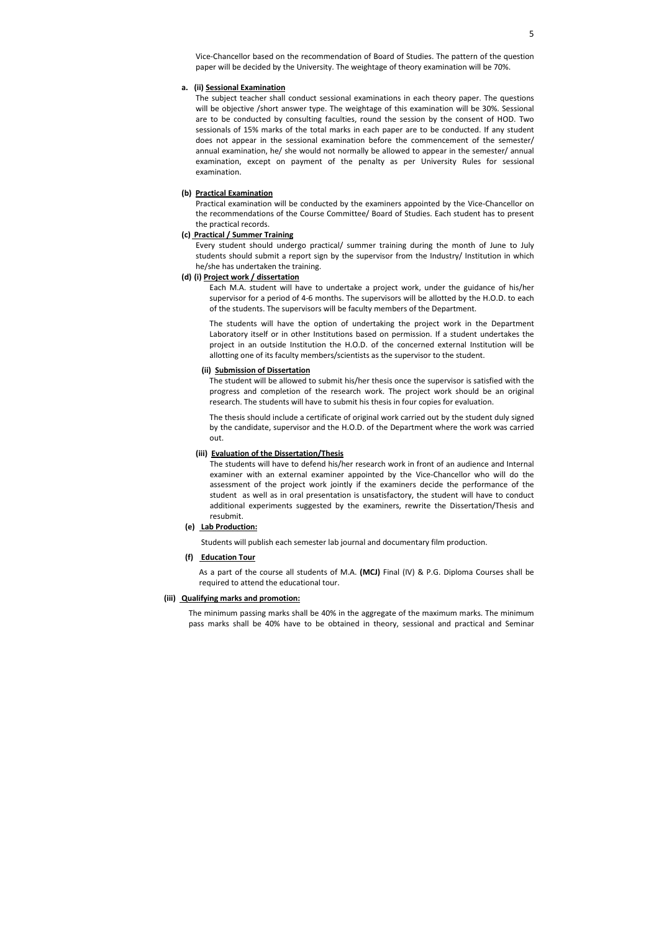Vice-Chancellor based on the recommendation of Board of Studies. The pattern of the question paper will be decided by the University. The weightage of theory examination will be 70%.

#### a. (ii) Sessional Examination

The subject teacher shall conduct sessional examinations in each theory paper. The questions will be objective /short answer type. The weightage of this examination will be 30%. Sessional are to be conducted by consulting faculties, round the session by the consent of HOD. Two sessionals of 15% marks of the total marks in each paper are to be conducted. If any student does not appear in the sessional examination before the commencement of the semester/ annual examination, he/ she would not normally be allowed to appear in the semester/ annual examination, except on payment of the penalty as per University Rules for sessional examination.

#### (b) Practical Examination

Practical examination will be conducted by the examiners appointed by the Vice-Chancellor on the recommendations of the Course Committee/ Board of Studies. Each student has to present the practical records.

#### (c) Practical / Summer Training

Every student should undergo practical/ summer training during the month of June to July students should submit a report sign by the supervisor from the Industry/ Institution in which he/she has undertaken the training.

#### (d) (i) Project work / dissertation

Each M.A. student will have to undertake a project work, under the guidance of his/her supervisor for a period of 4-6 months. The supervisors will be allotted by the H.O.D. to each of the students. The supervisors will be faculty members of the Department.

As a part of the course all students of M.A. (MCJ) Final (IV) & P.G. Diploma Courses shall be required to attend the educational tour.

The students will have the option of undertaking the project work in the Department Laboratory itself or in other Institutions based on permission. If a student undertakes the project in an outside Institution the H.O.D. of the concerned external Institution will be allotting one of its faculty members/scientists as the supervisor to the student.

#### (ii) Submission of Dissertation

The student will be allowed to submit his/her thesis once the supervisor is satisfied with the progress and completion of the research work. The project work should be an original research. The students will have to submit his thesis in four copies for evaluation.

The thesis should include a certificate of original work carried out by the student duly signed by the candidate, supervisor and the H.O.D. of the Department where the work was carried out.

#### (iii) Evaluation of the Dissertation/Thesis

The students will have to defend his/her research work in front of an audience and Internal examiner with an external examiner appointed by the Vice-Chancellor who will do the assessment of the project work jointly if the examiners decide the performance of the student as well as in oral presentation is unsatisfactory, the student will have to conduct additional experiments suggested by the examiners, rewrite the Dissertation/Thesis and resubmit.

#### (e) Lab Production:

Students will publish each semester lab journal and documentary film production.

#### (f) Education Tour

#### (iii) Qualifying marks and promotion:

The minimum passing marks shall be 40% in the aggregate of the maximum marks. The minimum pass marks shall be 40% have to be obtained in theory, sessional and practical and Seminar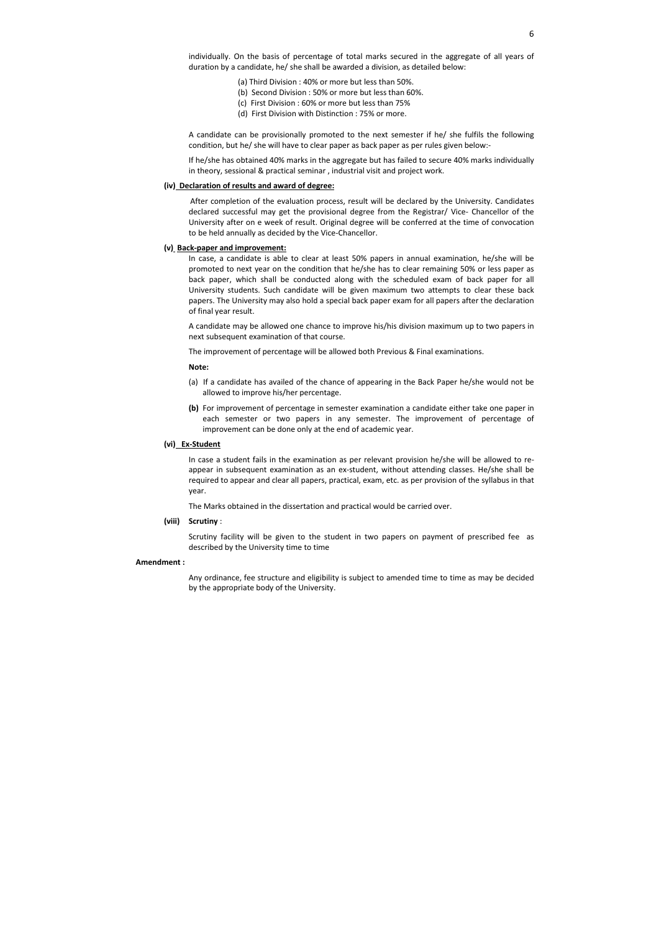individually. On the basis of percentage of total marks secured in the aggregate of all years of duration by a candidate, he/ she shall be awarded a division, as detailed below:

- (a) Third Division : 40% or more but less than 50%.
- (b) Second Division : 50% or more but less than 60%.
- (c) First Division : 60% or more but less than 75%
- (d) First Division with Distinction : 75% or more.

A candidate can be provisionally promoted to the next semester if he/ she fulfils the following condition, but he/ she will have to clear paper as back paper as per rules given below:-

If he/she has obtained 40% marks in the aggregate but has failed to secure 40% marks individually in theory, sessional & practical seminar , industrial visit and project work.

#### (iv) Declaration of results and award of degree:

 After completion of the evaluation process, result will be declared by the University. Candidates declared successful may get the provisional degree from the Registrar/ Vice- Chancellor of the University after on e week of result. Original degree will be conferred at the time of convocation to be held annually as decided by the Vice-Chancellor.

#### (v) Back-paper and improvement:

In case, a candidate is able to clear at least 50% papers in annual examination, he/she will be promoted to next year on the condition that he/she has to clear remaining 50% or less paper as back paper, which shall be conducted along with the scheduled exam of back paper for all University students. Such candidate will be given maximum two attempts to clear these back papers. The University may also hold a special back paper exam for all papers after the declaration of final year result.

A candidate may be allowed one chance to improve his/his division maximum up to two papers in next subsequent examination of that course.

The improvement of percentage will be allowed both Previous & Final examinations.

#### Note:

- (a) If a candidate has availed of the chance of appearing in the Back Paper he/she would not be allowed to improve his/her percentage.
- (b) For improvement of percentage in semester examination a candidate either take one paper in each semester or two papers in any semester. The improvement of percentage of improvement can be done only at the end of academic year.

#### (vi) Ex-Student

In case a student fails in the examination as per relevant provision he/she will be allowed to reappear in subsequent examination as an ex-student, without attending classes. He/she shall be required to appear and clear all papers, practical, exam, etc. as per provision of the syllabus in that year.

The Marks obtained in the dissertation and practical would be carried over.

(viii) Scrutiny :

Scrutiny facility will be given to the student in two papers on payment of prescribed fee as described by the University time to time

#### Amendment :

Any ordinance, fee structure and eligibility is subject to amended time to time as may be decided by the appropriate body of the University.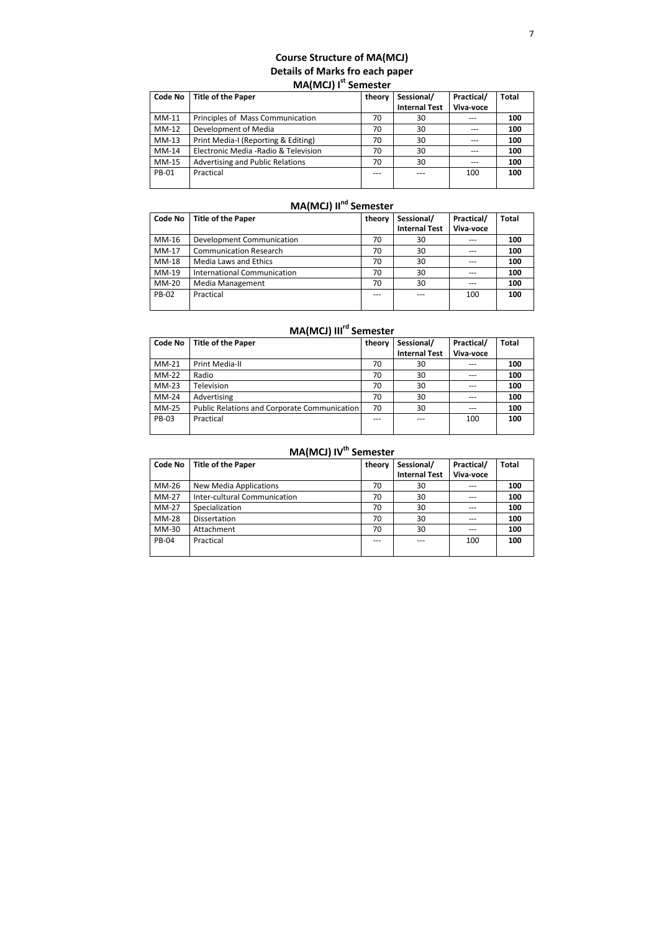## Course Structure of MA(MCJ) Details of Marks fro each paper MA(MCJ) I<sup>st</sup> Semester

| <b>Code No</b> | <b>Title of the Paper</b>             | theory | Sessional/<br><b>Internal Test</b> | Practical/<br>Viva-voce | <b>Total</b> |
|----------------|---------------------------------------|--------|------------------------------------|-------------------------|--------------|
| MM-11          | Principles of Mass Communication      | 70     | 30                                 |                         | 100          |
| MM-12          | Development of Media                  | 70     | 30                                 |                         | 100          |
| $MM-13$        | Print Media-I (Reporting & Editing)   | 70     | 30                                 |                         | 100          |
| $MM-14$        | Electronic Media - Radio & Television | 70     | 30                                 |                         | 100          |
| MM-15          | Advertising and Public Relations      | 70     | 30                                 |                         | 100          |
| <b>PB-01</b>   | Practical                             |        |                                    | 100                     | 100          |

# MA(MCJ) II<sup>nd</sup> Semester

| Code No      | <b>Title of the Paper</b>          | theory | Sessional/           | Practical/ | <b>Total</b> |
|--------------|------------------------------------|--------|----------------------|------------|--------------|
|              |                                    |        | <b>Internal Test</b> | Viva-voce  |              |
| MM-16        | Development Communication          | 70     | 30                   | $---$      | 100          |
| MM-17        | <b>Communication Research</b>      | 70     | 30                   |            | 100          |
| MM-18        | Media Laws and Ethics              | 70     | 30                   |            | 100          |
| $MM-19$      | <b>International Communication</b> | 70     | 30                   |            | 100          |
| MM-20        | Media Management                   | 70     | 30                   |            | 100          |
| <b>PB-02</b> | Practical                          | ---    | $---$                | 100        | 100          |
|              |                                    |        |                      |            |              |

# MA(MCJ) III<sup>rd</sup> Semester

| <b>Code No</b> | <b>Title of the Paper</b>                    | theory | Sessional/           | Practical/ | <b>Total</b> |
|----------------|----------------------------------------------|--------|----------------------|------------|--------------|
|                |                                              |        | <b>Internal Test</b> | Viva-voce  |              |
| $MM-21$        | Print Media-II                               | 70     | 30                   | $---$      | 100          |
| MM-22          | Radio                                        | 70     | 30                   |            | 100          |
| $MM-23$        | Television                                   | 70     | 30                   |            | 100          |
| MM-24          | Advertising                                  | 70     | 30                   |            | 100          |
| MM-25          | Public Relations and Corporate Communication | 70     | 30                   |            | 100          |
| <b>PB-03</b>   | Practical                                    | ---    | $---$                | 100        | 100          |
|                |                                              |        |                      |            |              |

# MA(MCJ) IV<sup>th</sup> Semester

| <b>Code No</b> | <b>Title of the Paper</b>    | theory | Sessional/           | Practical/ | <b>Total</b> |
|----------------|------------------------------|--------|----------------------|------------|--------------|
|                |                              |        | <b>Internal Test</b> | Viva-voce  |              |
| MM-26          | New Media Applications       | 70     | 30                   |            | 100          |
| $MM-27$        | Inter-cultural Communication | 70     | 30                   |            | 100          |
| MM-27          | Specialization               | 70     | 30                   | $---$      | 100          |
| <b>MM-28</b>   | Dissertation                 | 70     | 30                   | $---$      | 100          |
| MM-30          | Attachment                   | 70     | 30                   | $---$      | 100          |
| <b>PB-04</b>   | Practical                    | ---    |                      | 100        | 100          |
|                |                              |        |                      |            |              |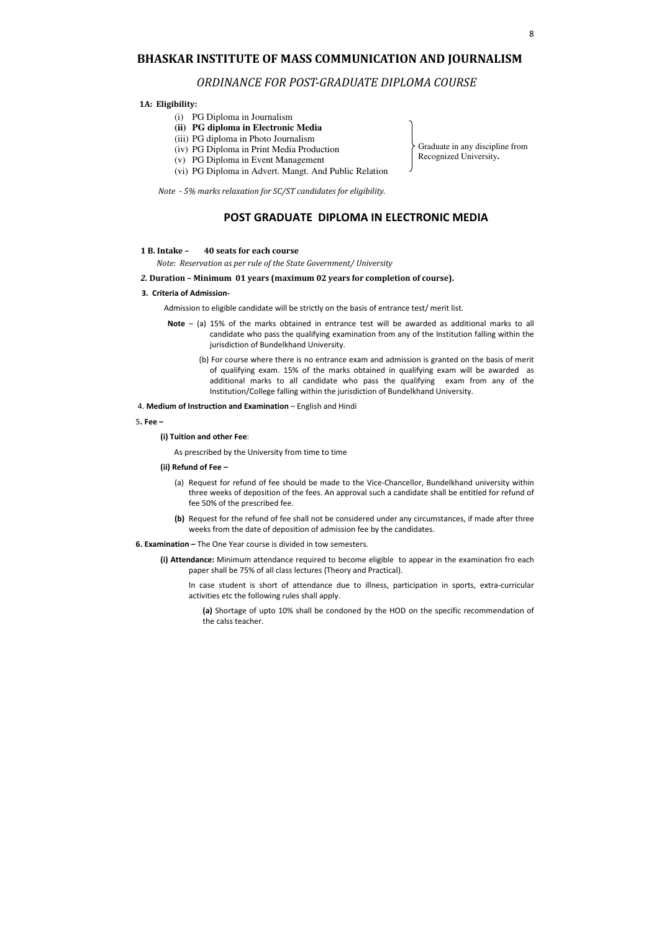## BHASKAR INSTITUTE OF MASS COMMUNICATION AND JOURNALISM

### ORDINANCE FOR POST-GRADUATE DIPLOMA COURSE

#### 1A: Eligibility:

- (i) PG Diploma in Journalism
- **(ii) PG diploma in Electronic Media**
- (iii) PG diploma in Photo Journalism
- (iv) PG Diploma in Print Media Production
- (v) PG Diploma in Event Management
- (vi) PG Diploma in Advert. Mangt. And Public Relation

Graduate in any discipline from Recognized University**.**

Note - 5% marks relaxation for SC/ST candidates for eligibility.

## POST GRADUATE DIPLOMA IN ELECTRONIC MEDIA

#### 1 B. Intake – 40 seats for each course

Note: Reservation as per rule of the State Government/ University

#### 2. Duration – Minimum 01 years (maximum 02 years for completion of course).

3. Criteria of Admission-

- **Note**  $-$  (a) 15% of the marks obtained in entrance test will be awarded as additional marks to all candidate who pass the qualifying examination from any of the Institution falling within the jurisdiction of Bundelkhand University.
	- (b) For course where there is no entrance exam and admission is granted on the basis of merit of qualifying exam. 15% of the marks obtained in qualifying exam will be awarded as additional marks to all candidate who pass the qualifying exam from any of the Institution/College falling within the jurisdiction of Bundelkhand University.
- 4. Medium of Instruction and Examination English and Hindi

Admission to eligible candidate will be strictly on the basis of entrance test/ merit list.

#### 5. Fee –

(i) Tuition and other Fee:

As prescribed by the University from time to time

#### (ii) Refund of Fee –

- (a) Request for refund of fee should be made to the Vice-Chancellor, Bundelkhand university within three weeks of deposition of the fees. An approval such a candidate shall be entitled for refund of fee 50% of the prescribed fee.
- (b) Request for the refund of fee shall not be considered under any circumstances, if made after three weeks from the date of deposition of admission fee by the candidates.
- 6. Examination The One Year course is divided in tow semesters.
	- (i) Attendance: Minimum attendance required to become eligible to appear in the examination fro each paper shall be 75% of all class lectures (Theory and Practical).

In case student is short of attendance due to illness, participation in sports, extra-curricular activities etc the following rules shall apply.

(a) Shortage of upto 10% shall be condoned by the HOD on the specific recommendation of the calss teacher.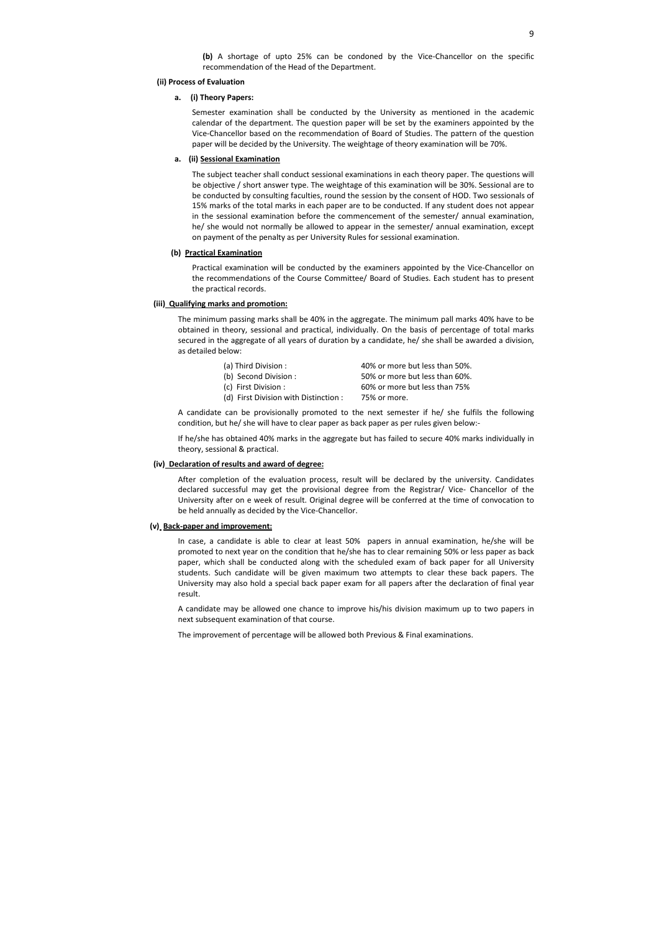(b) A shortage of upto 25% can be condoned by the Vice-Chancellor on the specific recommendation of the Head of the Department.

#### (ii) Process of Evaluation

#### a. (i) Theory Papers:

Semester examination shall be conducted by the University as mentioned in the academic calendar of the department. The question paper will be set by the examiners appointed by the Vice-Chancellor based on the recommendation of Board of Studies. The pattern of the question paper will be decided by the University. The weightage of theory examination will be 70%.

#### a. (ii) Sessional Examination

The subject teacher shall conduct sessional examinations in each theory paper. The questions will be objective / short answer type. The weightage of this examination will be 30%. Sessional are to be conducted by consulting faculties, round the session by the consent of HOD. Two sessionals of 15% marks of the total marks in each paper are to be conducted. If any student does not appear in the sessional examination before the commencement of the semester/ annual examination, he/ she would not normally be allowed to appear in the semester/ annual examination, except on payment of the penalty as per University Rules for sessional examination.

#### (b) Practical Examination

Practical examination will be conducted by the examiners appointed by the Vice-Chancellor on the recommendations of the Course Committee/ Board of Studies. Each student has to present the practical records.

#### (iii) Qualifying marks and promotion:

The minimum passing marks shall be 40% in the aggregate. The minimum pall marks 40% have to be obtained in theory, sessional and practical, individually. On the basis of percentage of total marks secured in the aggregate of all years of duration by a candidate, he/ she shall be awarded a division, as detailed below:

| (a) Third Division:                   | 40% or more but less than 50%. |
|---------------------------------------|--------------------------------|
| (b) Second Division :                 | 50% or more but less than 60%. |
| (c) First Division :                  | 60% or more but less than 75%  |
| (d) First Division with Distinction : | 75% or more.                   |

A candidate can be provisionally promoted to the next semester if he/ she fulfils the following condition, but he/ she will have to clear paper as back paper as per rules given below:-

If he/she has obtained 40% marks in the aggregate but has failed to secure 40% marks individually in theory, sessional & practical.

#### (iv) Declaration of results and award of degree:

After completion of the evaluation process, result will be declared by the university. Candidates declared successful may get the provisional degree from the Registrar/ Vice- Chancellor of the University after on e week of result. Original degree will be conferred at the time of convocation to be held annually as decided by the Vice-Chancellor.

#### (v) Back-paper and improvement:

In case, a candidate is able to clear at least 50% papers in annual examination, he/she will be promoted to next year on the condition that he/she has to clear remaining 50% or less paper as back paper, which shall be conducted along with the scheduled exam of back paper for all University students. Such candidate will be given maximum two attempts to clear these back papers. The University may also hold a special back paper exam for all papers after the declaration of final year result.

A candidate may be allowed one chance to improve his/his division maximum up to two papers in next subsequent examination of that course.

The improvement of percentage will be allowed both Previous & Final examinations.